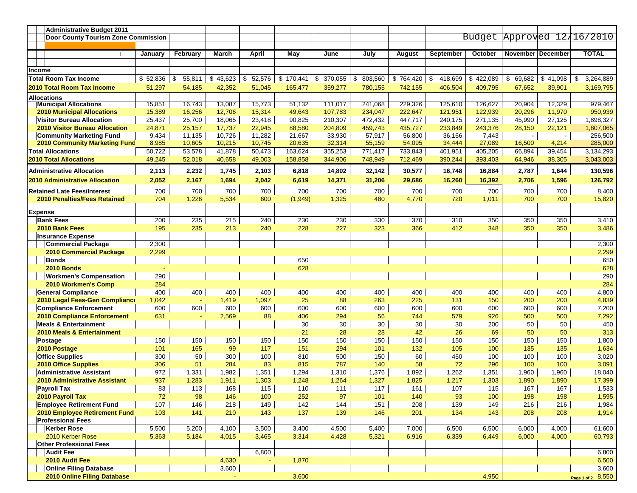|                            | <b>Administrative Budget 2011</b>                                  |                  |                  |                  |                  |                  |                    |                    |                    |                    |                    |                            |                          |                 |
|----------------------------|--------------------------------------------------------------------|------------------|------------------|------------------|------------------|------------------|--------------------|--------------------|--------------------|--------------------|--------------------|----------------------------|--------------------------|-----------------|
|                            | <b>Door County Tourism Zone Commission</b>                         |                  |                  |                  |                  |                  |                    |                    |                    |                    |                    | Budget Approved 12/16/2010 |                          |                 |
|                            |                                                                    |                  |                  |                  |                  |                  |                    |                    |                    |                    |                    |                            |                          |                 |
|                            |                                                                    | January          | February         | March            | <b>April</b>     | May              | June               | July               | August             | September          | October            | November   December        |                          | <b>TOTAL</b>    |
|                            |                                                                    |                  |                  |                  |                  |                  |                    |                    |                    |                    |                    |                            |                          |                 |
| Income                     |                                                                    |                  |                  |                  |                  |                  |                    |                    |                    |                    |                    |                            |                          |                 |
|                            | <b>Total Room Tax Income</b>                                       | \$52,836         | 55,811<br>\$     | \$43,623         | \$<br>52,576     | \$170,441        | 370,055<br>-\$     | \$<br>803,560      | \$764,420          | 418,699<br>- \$    | \$422,089          | \$<br>69,682               | \$41,098                 | 3,264,889<br>\$ |
|                            |                                                                    |                  | 54,185           |                  | 51,045           |                  |                    |                    |                    |                    |                    |                            |                          |                 |
| 2010 Total Room Tax Income |                                                                    | 51,297           |                  | 42,352           |                  | 165,477          | 359,277            | 780,155            | 742,155            | 406,504            | 409,795            | 67,652                     | 39,901                   | 3,169,795       |
|                            | <b>Allocations</b>                                                 |                  |                  |                  |                  |                  |                    | 241.068            |                    |                    |                    |                            | 12,329                   | 979,467         |
|                            | <b>Municipal Allocations</b>                                       | 15,851           | 16,743           | 13,087           | 15,773           | 51,132           | 111,017            |                    | 229,326            | 125,610            | 126,627            | 20,904                     |                          | 950,939         |
|                            | <b>2010 Municipal Allocations</b>                                  | 15,389<br>25,437 | 16,256<br>25,700 | 12,706<br>18,065 | 15,314<br>23,418 | 49,643<br>90,825 | 107,783<br>210,307 | 234,047<br>472,432 | 222,647<br>447,717 | 121,951<br>240,175 | 122,939<br>271,135 | 20,296<br>45,990           | 11,970<br>27,125         | 1,898,327       |
|                            | Visitor Bureau Allocation<br><b>2010 Visitor Bureau Allocation</b> | 24,871           | 25,157           | 17,737           | 22,945           | 88,580           | 204,809            | 459,743            | 435,727            | 233,849            | 243,376            | 28,150                     | 22,121                   | 1,807,065       |
|                            | <b>Community Marketing Fund</b>                                    | 9,434            | 11,135           | 10,726           | 11,282           | 21,667           | 33,930             | 57,917             | 56,800             | 36,166             | 7,443              | $\blacksquare$             | $\overline{\phantom{a}}$ | 256,500         |
|                            | 2010 Community Marketing Fund                                      | 8,985            | 10,605           | 10,215           | 10,745           | 20,635           | 32,314             | 55,159             | 54,095             | 34,444             | 27,089             | 16,500                     | 4,214                    | 285,000         |
|                            | <b>Total Allocations</b>                                           | 50,722           | 53,578           | 41,878           | 50,473           | 163,624          | 355,253            | 771,417            | 733,843            | 401,951            | 405,205            | 66,894                     | 39,454                   | 3,134,293       |
|                            | <b>2010 Total Allocations</b>                                      | 49,245           | 52,018           | 40,658           | 49,003           | 158,858          | 344,906            | 748,949            | 712,469            | 390,244            | 393,403            | 64,946                     | 38,305                   | 3,043,003       |
|                            |                                                                    |                  |                  |                  |                  |                  |                    |                    |                    |                    |                    |                            |                          |                 |
|                            | <b>Administrative Allocation</b>                                   | 2,113            | 2,232            | 1,745            | 2,103            | 6,818            | 14,802             | 32,142             | 30,577             | 16,748             | 16,884             | 2,787                      | 1,644                    | 130,596         |
|                            | <b>2010 Administrative Allocation</b>                              | 2,052            | 2,167            | 1,694            | 2,042            | 6,619            | 14,371             | 31,206             | 29,686             | 16,260             | 16,392             | 2,706                      | 1,596                    | 126,792         |
|                            | <b>Retained Late Fees/Interest</b>                                 | 700              | 700              | 700              | 700              | 700              | 700                | 700                | 700                | 700                | 700                | 700                        | 700                      | 8,400           |
|                            | <b>2010 Penalties/Fees Retained</b>                                | 704              | 1,226            | 5,534            | 600              | (1,949)          | 1,325              | 480                | 4,770              | 720                | 1,011              | 700                        | 700                      | 15,820          |
|                            |                                                                    |                  |                  |                  |                  |                  |                    |                    |                    |                    |                    |                            |                          |                 |
| <b>Expense</b>             |                                                                    |                  |                  |                  |                  |                  |                    |                    |                    |                    |                    |                            |                          |                 |
|                            | <b>Bank Fees</b>                                                   | 200              | 235              | 215              | 240              | 230<br>228       | 230<br>227         | 330<br>323         | 370                | 310                | 350                | 350                        | 350<br>350               | 3,410           |
|                            | 2010 Bank Fees                                                     | 195              | 235              | 213              | 240              |                  |                    |                    | 366                | 412                | 348                | 350                        |                          | 3,486           |
|                            | <b>Insurance Expense</b><br><b>Commercial Package</b>              | 2,300            |                  |                  |                  |                  |                    |                    |                    |                    |                    |                            |                          | 2,300           |
|                            | 2010 Commercial Package                                            | 2,299            |                  |                  |                  |                  |                    |                    |                    |                    |                    |                            |                          | 2,299           |
|                            | <b>Bonds</b>                                                       |                  |                  |                  |                  | 650              |                    |                    |                    |                    |                    |                            |                          | 650             |
|                            | <b>2010 Bonds</b>                                                  |                  |                  |                  |                  | 628              |                    |                    |                    |                    |                    |                            |                          | 628             |
|                            | <b>Workmen's Compensation</b>                                      | 290              |                  |                  |                  |                  |                    |                    |                    |                    |                    |                            |                          | 290             |
|                            | 2010 Workmen's Comp                                                | 284              |                  |                  |                  |                  |                    |                    |                    |                    |                    |                            |                          | 284             |
|                            | <b>General Compliance</b>                                          | 400              | 400              | 400              | 400              | 400              | 400                | 400                | 400                | 400                | 400                | 400                        | 400                      | 4,800           |
|                            | 2010 Legal Fees-Gen Compliance                                     | 1,042            |                  | 1,419            | 1,097            | 25               | 88                 | 263                | 225                | 131                | 150                | 200                        | 200                      | 4,839           |
|                            | <b>Compliance Enforcement</b>                                      | 600              | 600              | 600              | 600              | 600              | 600                | 600                | 600                | 600                | 600                | 600                        | 600                      | 7,200           |
|                            | 2010 Compliance Enforcement                                        | 631              |                  | 2,569            | 88               | 406              | 294                | 56                 | 744                | 579                | 926                | 500                        | 500                      | 7,292           |
|                            | <b>Meals &amp; Entertainment</b>                                   |                  |                  |                  |                  | 30               | 30                 | 30                 | 30                 | 30                 | 200                | 50                         | 50                       | 450             |
|                            | 2010 Meals & Entertainment                                         |                  |                  |                  |                  | 21               | 28                 | 28                 | 42                 | 26                 | 69                 | 50                         | 50                       | 313             |
|                            | Postage                                                            | 150              | 150              | 150              | 150              | 150              | 150                | 150                | 150                | 150                | 150                | 150                        | 150                      | 1,800           |
|                            | 2010 Postage                                                       | 101              | 165              | 99               | 117              | 151              | 294                | 101                | 132                | 105                | 100                | 135                        | 135                      | 1,634           |
|                            | <b>Office Supplies</b>                                             | 300              | 50               | 300              | 100              | 810              | 500                | 150                | 60                 | 450                | 100                | 100                        | 100                      | 3,020           |
|                            | <b>2010 Office Supplies</b>                                        | 306              | 51               | 284              | 83               | 815              | 787                | 140                | 58                 | 72                 | 296                | 100                        | 100                      | 3,091           |
|                            | <b>Administrative Assistant</b>                                    | 972              | 1,331            | 1,982            | 1,351            | 1,294            | 1,310              | 1,376              | 1,892              | 1,262              | 1,351              | 1,960                      | 1,960                    | 18,040          |
|                            | <b>2010 Administrative Assistant</b>                               | 937              | 1,283            | 1,911            | 1,303            | 1,248            | 1,264              | 1,327              | 1,825              | 1,217              | 1,303              | 1,890                      | 1,890                    | 17,399          |
|                            | <b>Payroll Tax</b>                                                 | 83               | 113              | 168              | 115              | 110              | 111                | 117                | 161                | 107                | 115                | 167                        | 167                      | 1,533           |
|                            | 2010 Payroll Tax                                                   | 72               | 98               | 146              | 100              | 252              | 97                 | 101                | 140                | 93                 | 100                | 198                        | 198                      | 1,595           |
|                            | <b>Employee Retirement Fund</b>                                    | 107              | 146              | 218              | 149              | 142              | 144                | 151                | 208                | 139                | 149                | 216                        | 216                      | 1,984           |
|                            | 2010 Employee Retirement Fund                                      | 103              | 141              | 210              | 143              | 137              | 139                | 146                | 201                | 134                | 143                | 208                        | 208                      | 1,914           |
|                            | <b>Professional Fees</b>                                           |                  |                  |                  |                  |                  |                    |                    |                    |                    |                    |                            |                          |                 |
|                            | <b>Kerber Rose</b>                                                 | 5,500            | 5,200            | 4,100            | 3,500            | 3,400            | 4,500              | 5,400              | 7,000              | 6,500              | 6,500              | 6,000                      | 4,000                    | 61,600          |
|                            | 2010 Kerber Rose                                                   | 5,363            | 5,184            | 4,015            | 3,465            | 3,314            | 4,428              | 5,321              | 6,916              | 6,339              | 6,449              | 6,000                      | 4,000                    | 60,793          |
|                            | <b>Other Professional Fees</b>                                     |                  |                  |                  |                  |                  |                    |                    |                    |                    |                    |                            |                          |                 |
|                            | <b>Audit Fee</b><br>2010 Audit Fee                                 |                  |                  | 4,630            | 6,800            |                  |                    |                    |                    |                    |                    |                            |                          | 6,800           |
|                            | <b>Online Filing Database</b>                                      |                  |                  | 3,600            |                  | 1,870            |                    |                    |                    |                    |                    |                            |                          | 6,500<br>3,600  |
|                            | 2010 Online Filing Database                                        |                  |                  |                  |                  | 3,600            |                    |                    |                    |                    | 4,950              |                            |                          | 8,550           |
|                            |                                                                    |                  |                  |                  |                  |                  |                    |                    |                    |                    |                    |                            |                          | Page 1 of 2     |